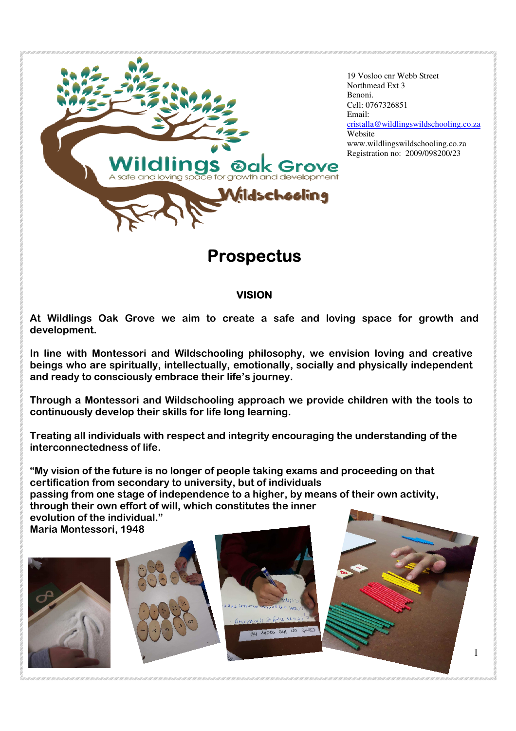

19 Vosloo cnr Webb Street Northmead Ext 3 Benoni. Cell: 0767326851 Email: cristalla@wildlingswildschooling.co.za Website www.wildlingswildschooling.co.za Registration no: 2009/098200/23

1

# **Prospectus**

## **VISION**

**At Wildlings Oak Grove we aim to create a safe and loving space for growth and development.** 

**In line with Montessori and Wildschooling philosophy, we envision loving and creative beings who are spiritually, intellectually, emotionally, socially and physically independent and ready to consciously embrace their life's journey.** 

**Through a Montessori and Wildschooling approach we provide children with the tools to continuously develop their skills for life long learning.** 

**Treating all individuals with respect and integrity encouraging the understanding of the interconnectedness of life.** 

**"My vision of the future is no longer of people taking exams and proceeding on that certification from secondary to university, but of individuals passing from one stage of independence to a higher, by means of their own activity, through their own effort of will, which constitutes the inner evolution of the individual." Maria Montessori, 1948** 





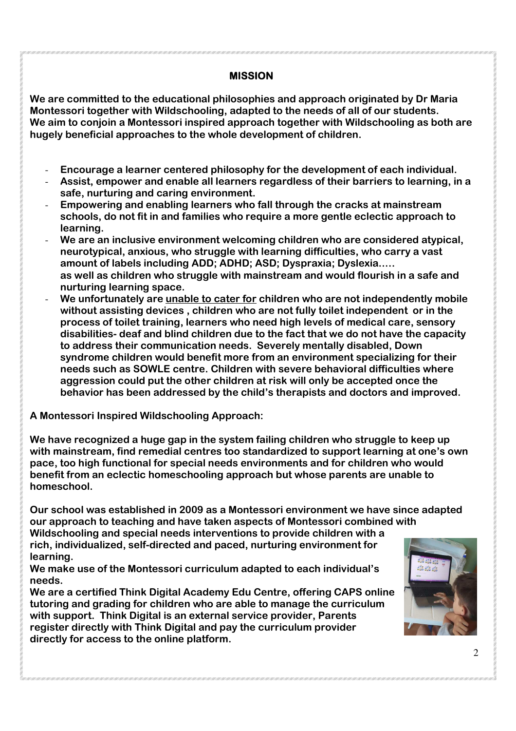### **MISSION**

**We are committed to the educational philosophies and approach originated by Dr Maria Montessori together with Wildschooling, adapted to the needs of all of our students. We aim to conjoin a Montessori inspired approach together with Wildschooling as both are hugely beneficial approaches to the whole development of children.** 

- **Encourage a learner centered philosophy for the development of each individual.**
- **Assist, empower and enable all learners regardless of their barriers to learning, in a safe, nurturing and caring environment.**
- **Empowering and enabling learners who fall through the cracks at mainstream schools, do not fit in and families who require a more gentle eclectic approach to learning.**
- **We are an inclusive environment welcoming children who are considered atypical, neurotypical, anxious, who struggle with learning difficulties, who carry a vast amount of labels including ADD; ADHD; ASD; Dyspraxia; Dyslexia..… as well as children who struggle with mainstream and would flourish in a safe and nurturing learning space.**
- We unfortunately are unable to cater for children who are not independently mobile **without assisting devices , children who are not fully toilet independent or in the process of toilet training, learners who need high levels of medical care, sensory disabilities- deaf and blind children due to the fact that we do not have the capacity to address their communication needs. Severely mentally disabled, Down syndrome children would benefit more from an environment specializing for their needs such as SOWLE centre. Children with severe behavioral difficulties where aggression could put the other children at risk will only be accepted once the behavior has been addressed by the child's therapists and doctors and improved.**

**A Montessori Inspired Wildschooling Approach:** 

**We have recognized a huge gap in the system failing children who struggle to keep up with mainstream, find remedial centres too standardized to support learning at one's own pace, too high functional for special needs environments and for children who would benefit from an eclectic homeschooling approach but whose parents are unable to homeschool.** 

**Our school was established in 2009 as a Montessori environment we have since adapted our approach to teaching and have taken aspects of Montessori combined with Wildschooling and special needs interventions to provide children with a rich, individualized, self-directed and paced, nurturing environment for** 

**learning. We make use of the Montessori curriculum adapted to each individual's** 

**needs. We are a certified Think Digital Academy Edu Centre, offering CAPS online tutoring and grading for children who are able to manage the curriculum with support. Think Digital is an external service provider, Parents register directly with Think Digital and pay the curriculum provider directly for access to the online platform.** 

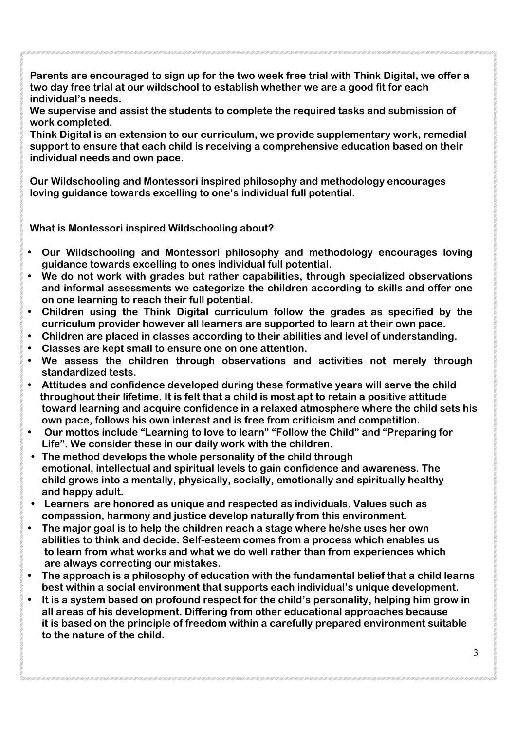**Parents are encouraged to sign up for the two week free trial with Think Digital, we offer a two day free trial at our wildschool to establish whether we are a good fit for each individual's needs.** 

**We supervise and assist the students to complete the required tasks and submission of work completed.** 

**Think Digital is an extension to our curriculum, we provide supplementary work, remedial support to ensure that each child is receiving a comprehensive education based on their individual needs and own pace.** 

**Our Wildschooling and Montessori inspired philosophy and methodology encourages loving guidance towards excelling to one's individual full potential.** 

**What is Montessori inspired Wildschooling about?** 

- **Our Wildschooling and Montessori philosophy and methodology encourages loving guidance towards excelling to ones individual full potential.**
- **We do not work with grades but rather capabilities, through specialized observations and informal assessments we categorize the children according to skills and offer one on one learning to reach their full potential.**
- **Children using the Think Digital curriculum follow the grades as specified by the curriculum provider however all learners are supported to learn at their own pace.**
- **Children are placed in classes according to their abilities and level of understanding.**
- **Classes are kept small to ensure one on one attention.**
- **We assess the children through observations and activities not merely through standardized tests.**
- **Attitudes and confidence developed during these formative years will serve the child throughout their lifetime. It is felt that a child is most apt to retain a positive attitude toward learning and acquire confidence in a relaxed atmosphere where the child sets his own pace, follows his own interest and is free from criticism and competition.**
- • **Our mottos include "Learning to love to learn" "Follow the Child" and "Preparing for Life". We consider these in our daily work with the children.**
- **The method develops the whole personality of the child through emotional, intellectual and spiritual levels to gain confidence and awareness. The child grows into a mentally, physically, socially, emotionally and spiritually healthy and happy adult.**
- • **Learners are honored as unique and respected as individuals. Values such as compassion, harmony and justice develop naturally from this environment.**
- **The major goal is to help the children reach a stage where he/she uses her own abilities to think and decide. Self-esteem comes from a process which enables us to learn from what works and what we do well rather than from experiences which are always correcting our mistakes.**
- **The approach is a philosophy of education with the fundamental belief that a child learns best within a social environment that supports each individual's unique development.**
- **It is a system based on profound respect for the child's personality, helping him grow in all areas of his development. Differing from other educational approaches because it is based on the principle of freedom within a carefully prepared environment suitable to the nature of the child.**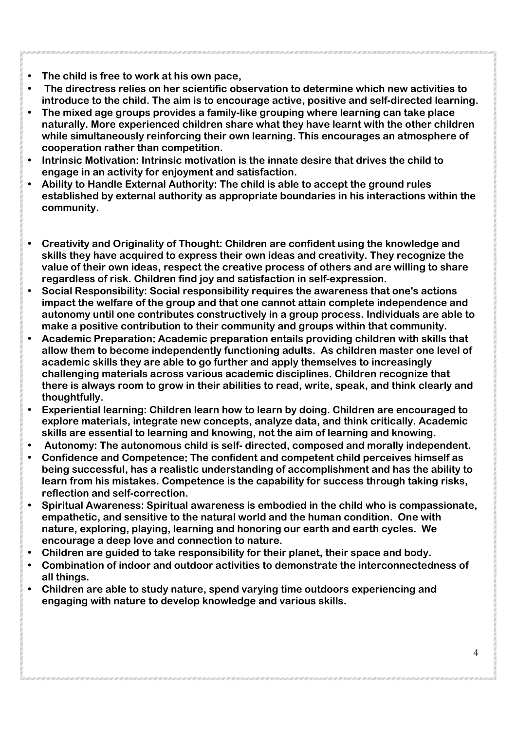- **The child is free to work at his own pace,**
- • **The directress relies on her scientific observation to determine which new activities to introduce to the child. The aim is to encourage active, positive and self-directed learning.**
- **The mixed age groups provides a family-like grouping where learning can take place naturally. More experienced children share what they have learnt with the other children while simultaneously reinforcing their own learning. This encourages an atmosphere of cooperation rather than competition.**
- **Intrinsic Motivation: Intrinsic motivation is the innate desire that drives the child to engage in an activity for enjoyment and satisfaction.**
- **Ability to Handle External Authority: The child is able to accept the ground rules established by external authority as appropriate boundaries in his interactions within the community.**
- **Creativity and Originality of Thought: Children are confident using the knowledge and skills they have acquired to express their own ideas and creativity. They recognize the value of their own ideas, respect the creative process of others and are willing to share regardless of risk. Children find joy and satisfaction in self-expression.**
- **Social Responsibility: Social responsibility requires the awareness that one's actions impact the welfare of the group and that one cannot attain complete independence and autonomy until one contributes constructively in a group process. Individuals are able to make a positive contribution to their community and groups within that community.**
- **Academic Preparation: Academic preparation entails providing children with skills that allow them to become independently functioning adults. As children master one level of academic skills they are able to go further and apply themselves to increasingly challenging materials across various academic disciplines. Children recognize that there is always room to grow in their abilities to read, write, speak, and think clearly and thoughtfully.**
- **Experiential learning: Children learn how to learn by doing. Children are encouraged to explore materials, integrate new concepts, analyze data, and think critically. Academic skills are essential to learning and knowing, not the aim of learning and knowing.**
- • **Autonomy: The autonomous child is self- directed, composed and morally independent.**
- **Confidence and Competence: The confident and competent child perceives himself as being successful, has a realistic understanding of accomplishment and has the ability to learn from his mistakes. Competence is the capability for success through taking risks, reflection and self-correction.**
- **Spiritual Awareness: Spiritual awareness is embodied in the child who is compassionate, empathetic, and sensitive to the natural world and the human condition. One with nature, exploring, playing, learning and honoring our earth and earth cycles. We encourage a deep love and connection to nature.**
- **Children are guided to take responsibility for their planet, their space and body.**
- **Combination of indoor and outdoor activities to demonstrate the interconnectedness of all things.**
- **Children are able to study nature, spend varying time outdoors experiencing and engaging with nature to develop knowledge and various skills.**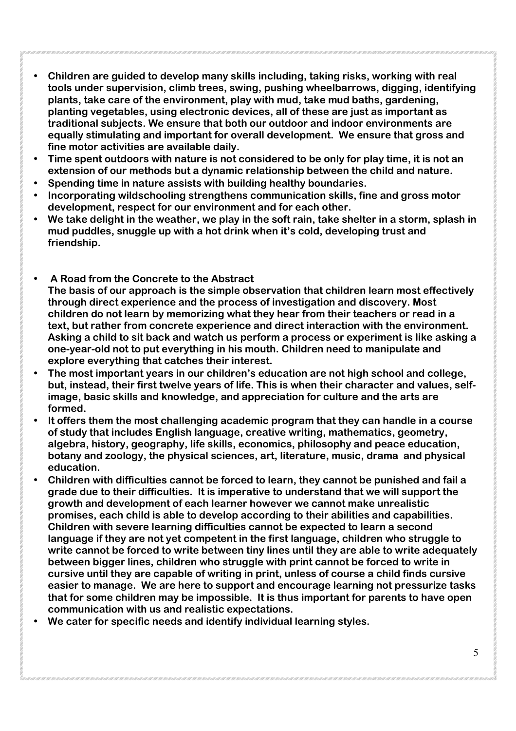- **Children are guided to develop many skills including, taking risks, working with real tools under supervision, climb trees, swing, pushing wheelbarrows, digging, identifying plants, take care of the environment, play with mud, take mud baths, gardening, planting vegetables, using electronic devices, all of these are just as important as traditional subjects. We ensure that both our outdoor and indoor environments are equally stimulating and important for overall development. We ensure that gross and fine motor activities are available daily.**
- **Time spent outdoors with nature is not considered to be only for play time, it is not an extension of our methods but a dynamic relationship between the child and nature.**
- **Spending time in nature assists with building healthy boundaries.**
- **Incorporating wildschooling strengthens communication skills, fine and gross motor development, respect for our environment and for each other.**
- **We take delight in the weather, we play in the soft rain, take shelter in a storm, splash in mud puddles, snuggle up with a hot drink when it's cold, developing trust and friendship.**
- • **A Road from the Concrete to the Abstract The basis of our approach is the simple observation that children learn most effectively through direct experience and the process of investigation and discovery. Most children do not learn by memorizing what they hear from their teachers or read in a text, but rather from concrete experience and direct interaction with the environment. Asking a child to sit back and watch us perform a process or experiment is like asking a one-year-old not to put everything in his mouth. Children need to manipulate and explore everything that catches their interest.**
- **The most important years in our children's education are not high school and college, but, instead, their first twelve years of life. This is when their character and values, selfimage, basic skills and knowledge, and appreciation for culture and the arts are formed.**
- **It offers them the most challenging academic program that they can handle in a course of study that includes English language, creative writing, mathematics, geometry, algebra, history, geography, life skills, economics, philosophy and peace education, botany and zoology, the physical sciences, art, literature, music, drama and physical education.**
- **Children with difficulties cannot be forced to learn, they cannot be punished and fail a grade due to their difficulties. It is imperative to understand that we will support the growth and development of each learner however we cannot make unrealistic promises, each child is able to develop according to their abilities and capabilities. Children with severe learning difficulties cannot be expected to learn a second language if they are not yet competent in the first language, children who struggle to write cannot be forced to write between tiny lines until they are able to write adequately between bigger lines, children who struggle with print cannot be forced to write in cursive until they are capable of writing in print, unless of course a child finds cursive easier to manage. We are here to support and encourage learning not pressurize tasks that for some children may be impossible. It is thus important for parents to have open communication with us and realistic expectations.**
- **We cater for specific needs and identify individual learning styles.**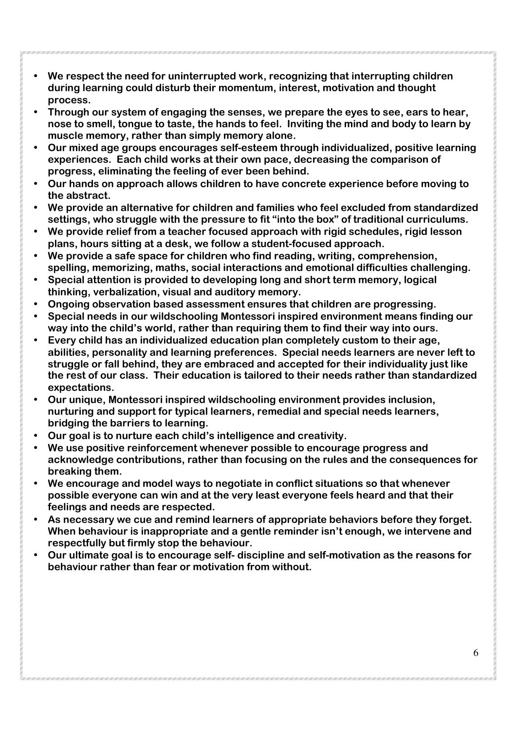- **We respect the need for uninterrupted work, recognizing that interrupting children during learning could disturb their momentum, interest, motivation and thought process.**
- **Through our system of engaging the senses, we prepare the eyes to see, ears to hear, nose to smell, tongue to taste, the hands to feel. Inviting the mind and body to learn by muscle memory, rather than simply memory alone.**
- **Our mixed age groups encourages self-esteem through individualized, positive learning experiences. Each child works at their own pace, decreasing the comparison of progress, eliminating the feeling of ever been behind.**
- **Our hands on approach allows children to have concrete experience before moving to the abstract.**
- **We provide an alternative for children and families who feel excluded from standardized settings, who struggle with the pressure to fit "into the box" of traditional curriculums.**
- **We provide relief from a teacher focused approach with rigid schedules, rigid lesson plans, hours sitting at a desk, we follow a student-focused approach.**
- **We provide a safe space for children who find reading, writing, comprehension, spelling, memorizing, maths, social interactions and emotional difficulties challenging.**
- **Special attention is provided to developing long and short term memory, logical thinking, verbalization, visual and auditory memory.**
- **Ongoing observation based assessment ensures that children are progressing.**
- **Special needs in our wildschooling Montessori inspired environment means finding our way into the child's world, rather than requiring them to find their way into ours.**
- **Every child has an individualized education plan completely custom to their age, abilities, personality and learning preferences. Special needs learners are never left to struggle or fall behind, they are embraced and accepted for their individuality just like the rest of our class. Their education is tailored to their needs rather than standardized expectations.**
- **Our unique, Montessori inspired wildschooling environment provides inclusion, nurturing and support for typical learners, remedial and special needs learners, bridging the barriers to learning.**
- **Our goal is to nurture each child's intelligence and creativity.**
- **We use positive reinforcement whenever possible to encourage progress and acknowledge contributions, rather than focusing on the rules and the consequences for breaking them.**
- **We encourage and model ways to negotiate in conflict situations so that whenever possible everyone can win and at the very least everyone feels heard and that their feelings and needs are respected.**
- **As necessary we cue and remind learners of appropriate behaviors before they forget. When behaviour is inappropriate and a gentle reminder isn't enough, we intervene and respectfully but firmly stop the behaviour.**
- **Our ultimate goal is to encourage self- discipline and self-motivation as the reasons for behaviour rather than fear or motivation from without.**

6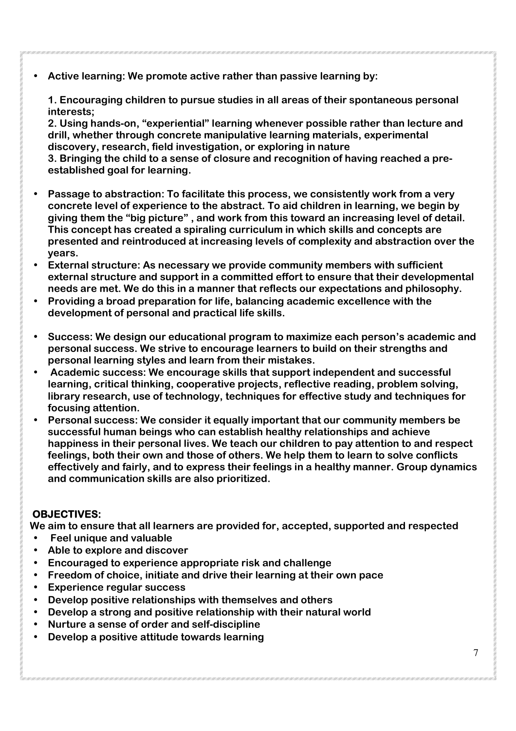• **Active learning: We promote active rather than passive learning by:** 

**1. Encouraging children to pursue studies in all areas of their spontaneous personal interests;** 

**2. Using hands-on, "experiential" learning whenever possible rather than lecture and drill, whether through concrete manipulative learning materials, experimental discovery, research, field investigation, or exploring in nature** 

**3. Bringing the child to a sense of closure and recognition of having reached a preestablished goal for learning.** 

- **Passage to abstraction: To facilitate this process, we consistently work from a very concrete level of experience to the abstract. To aid children in learning, we begin by giving them the "big picture" , and work from this toward an increasing level of detail. This concept has created a spiraling curriculum in which skills and concepts are presented and reintroduced at increasing levels of complexity and abstraction over the years.**
- **External structure: As necessary we provide community members with sufficient external structure and support in a committed effort to ensure that their developmental needs are met. We do this in a manner that reflects our expectations and philosophy.**
- **Providing a broad preparation for life, balancing academic excellence with the development of personal and practical life skills.**
- **Success: We design our educational program to maximize each person's academic and personal success. We strive to encourage learners to build on their strengths and personal learning styles and learn from their mistakes.**
- • **Academic success: We encourage skills that support independent and successful learning, critical thinking, cooperative projects, reflective reading, problem solving, library research, use of technology, techniques for effective study and techniques for focusing attention.**
- **Personal success: We consider it equally important that our community members be successful human beings who can establish healthy relationships and achieve happiness in their personal lives. We teach our children to pay attention to and respect feelings, both their own and those of others. We help them to learn to solve conflicts effectively and fairly, and to express their feelings in a healthy manner. Group dynamics and communication skills are also prioritized.**

### **OBJECTIVES:**

**We aim to ensure that all learners are provided for, accepted, supported and respected** 

- • **Feel unique and valuable**
- **Able to explore and discover**
- **Encouraged to experience appropriate risk and challenge**
- **Freedom of choice, initiate and drive their learning at their own pace**
- **Experience regular success**
- **Develop positive relationships with themselves and others**
- **Develop a strong and positive relationship with their natural world**
- **Nurture a sense of order and self-discipline**
- **Develop a positive attitude towards learning**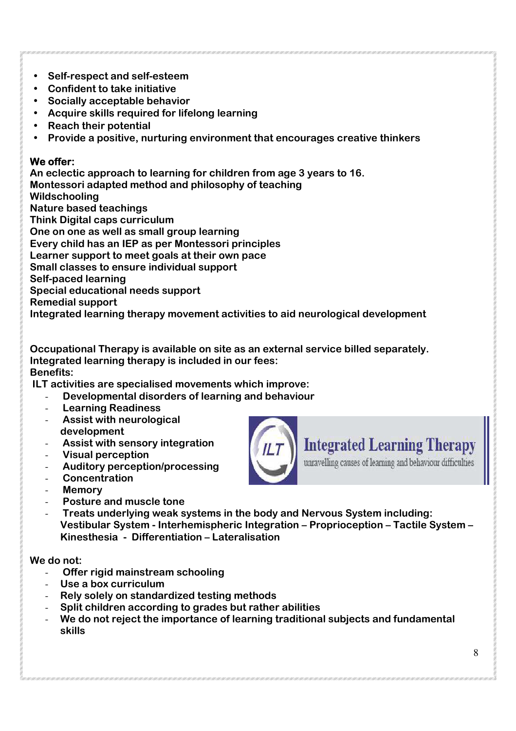- **Self-respect and self-esteem**
- **Confident to take initiative**
- **Socially acceptable behavior**
- **Acquire skills required for lifelong learning**
- **Reach their potential**
- **Provide a positive, nurturing environment that encourages creative thinkers**

### **We offer:**

**An eclectic approach to learning for children from age 3 years to 16. Montessori adapted method and philosophy of teaching Wildschooling Nature based teachings Think Digital caps curriculum One on one as well as small group learning Every child has an IEP as per Montessori principles Learner support to meet goals at their own pace Small classes to ensure individual support Self-paced learning Special educational needs support Remedial support** 

**Integrated learning therapy movement activities to aid neurological development** 

**Occupational Therapy is available on site as an external service billed separately. Integrated learning therapy is included in our fees: Benefits:** 

 **ILT activities are specialised movements which improve:** 

- - **Developmental disorders of learning and behaviour**
- - **Learning Readiness**
- - **Assist with neurological development**
- - **Assist with sensory integration**
- - **Visual perception**
- - **Auditory perception/processing**
- - **Concentration**
- - **Memory**
- - **Posture and muscle tone**
- - **Treats underlying weak systems in the body and Nervous System including: Vestibular System - Interhemispheric Integration – Proprioception – Tactile System – Kinesthesia - Differentiation – Lateralisation**

### **We do not:**

- - **Offer rigid mainstream schooling**
- **Use a box curriculum**
- **Rely solely on standardized testing methods**
- **Split children according to grades but rather abilities**
- **We do not reject the importance of learning traditional subjects and fundamental skills**



**Integrated Learning Therapy** 

unravelling causes of learning and behaviour difficulties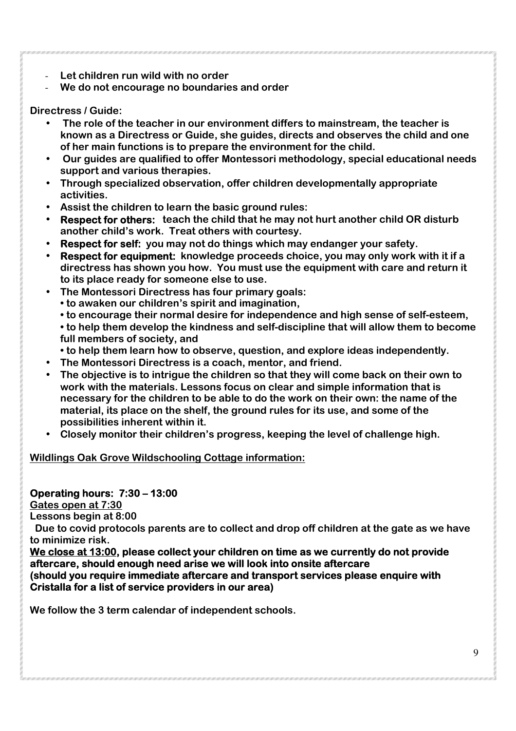- **Let children run wild with no order**
- **We do not encourage no boundaries and order**

### **Directress / Guide:**

- • **The role of the teacher in our environment differs to mainstream, the teacher is known as a Directress or Guide, she guides, directs and observes the child and one of her main functions is to prepare the environment for the child.**
- • **Our guides are qualified to offer Montessori methodology, special educational needs support and various therapies.**
- **Through specialized observation, offer children developmentally appropriate activities.**
- **Assist the children to learn the basic ground rules:**
- **Respect for others: teach the child that he may not hurt another child OR disturb another child's work. Treat others with courtesy.**
- **Respect for self: you may not do things which may endanger your safety.**
- **Respect for equipment: knowledge proceeds choice, you may only work with it if a directress has shown you how. You must use the equipment with care and return it to its place ready for someone else to use.**
- **The Montessori Directress has four primary goals:** 
	- **to awaken our children's spirit and imagination,**
	- **to encourage their normal desire for independence and high sense of self-esteem,**
	- **to help them develop the kindness and self-discipline that will allow them to become full members of society, and**
	- **to help them learn how to observe, question, and explore ideas independently.**
- **The Montessori Directress is a coach, mentor, and friend.**
- **The objective is to intrigue the children so that they will come back on their own to work with the materials. Lessons focus on clear and simple information that is necessary for the children to be able to do the work on their own: the name of the material, its place on the shelf, the ground rules for its use, and some of the possibilities inherent within it.**
- **Closely monitor their children's progress, keeping the level of challenge high.**

**Wildlings Oak Grove Wildschooling Cottage information:** 

# **Operating hours: 7:30 – 13:00**

**Gates open at 7:30** 

**Lessons begin at 8:00** 

 **Due to covid protocols parents are to collect and drop off children at the gate as we have to minimize risk.** 

**We close at 13:00, please collect your children on time as we currently do not provide aftercare, should enough need arise we will look into onsite aftercare** 

**(should you require immediate aftercare and transport services please enquire with Cristalla for a list of service providers in our area)** 

**We follow the 3 term calendar of independent schools.**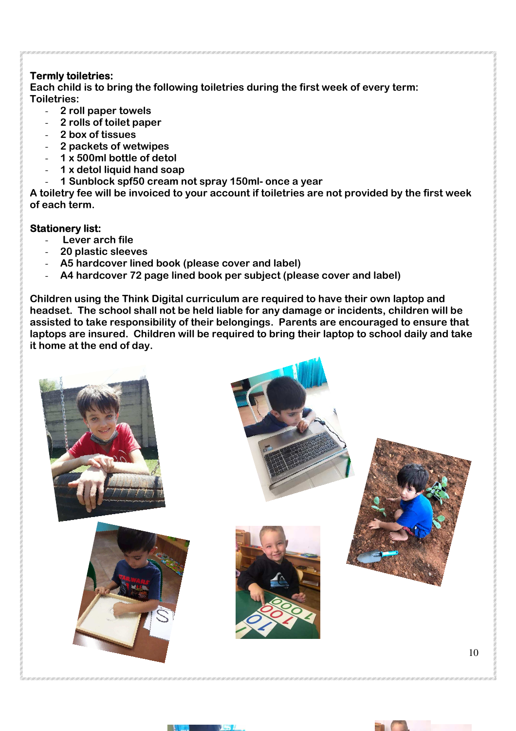### **Termly toiletries:**

**Each child is to bring the following toiletries during the first week of every term: Toiletries:** 

- **2 roll paper towels**
- **2 rolls of toilet paper**
- **2 box of tissues**
- **2 packets of wetwipes**
- **1 x 500ml bottle of detol**
- **1 x detol liquid hand soap**
- **1 Sunblock spf50 cream not spray 150ml- once a year**

**A toiletry fee will be invoiced to your account if toiletries are not provided by the first week of each term.** 

#### **Stationery list:**

- - **Lever arch file**
- **20 plastic sleeves**
- **A5 hardcover lined book (please cover and label)**
- **A4 hardcover 72 page lined book per subject (please cover and label)**

**Children using the Think Digital curriculum are required to have their own laptop and headset. The school shall not be held liable for any damage or incidents, children will be assisted to take responsibility of their belongings. Parents are encouraged to ensure that laptops are insured. Children will be required to bring their laptop to school daily and take it home at the end of day.** 





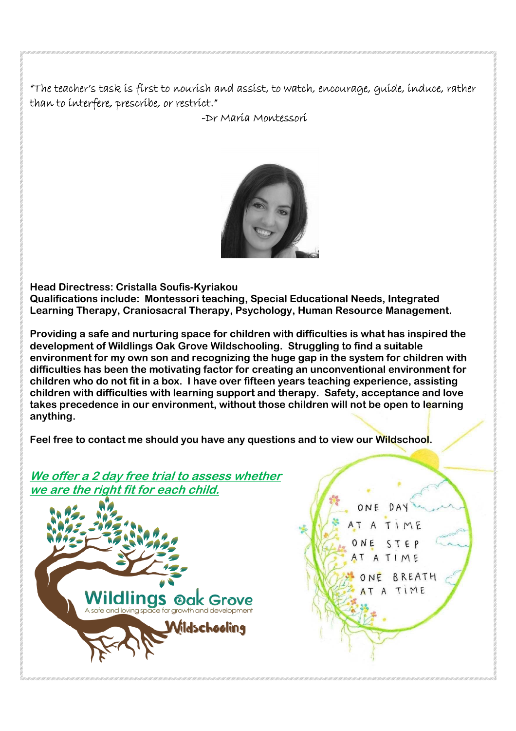"The teacher's task is first to nourish and assist, to watch, encourage, guide, induce, rather than to interfere, prescribe, or restrict."

-Dr Maria Montessori



**Head Directress: Cristalla Soufis-Kyriakou Qualifications include: Montessori teaching, Special Educational Needs, Integrated Learning Therapy, Craniosacral Therapy, Psychology, Human Resource Management.** 

**Providing a safe and nurturing space for children with difficulties is what has inspired the development of Wildlings Oak Grove Wildschooling. Struggling to find a suitable environment for my own son and recognizing the huge gap in the system for children with difficulties has been the motivating factor for creating an unconventional environment for children who do not fit in a box. I have over fifteen years teaching experience, assisting children with difficulties with learning support and therapy. Safety, acceptance and love takes precedence in our environment, without those children will not be open to learning anything.** 

**Feel free to contact me should you have any questions and to view our Wildschool.** 

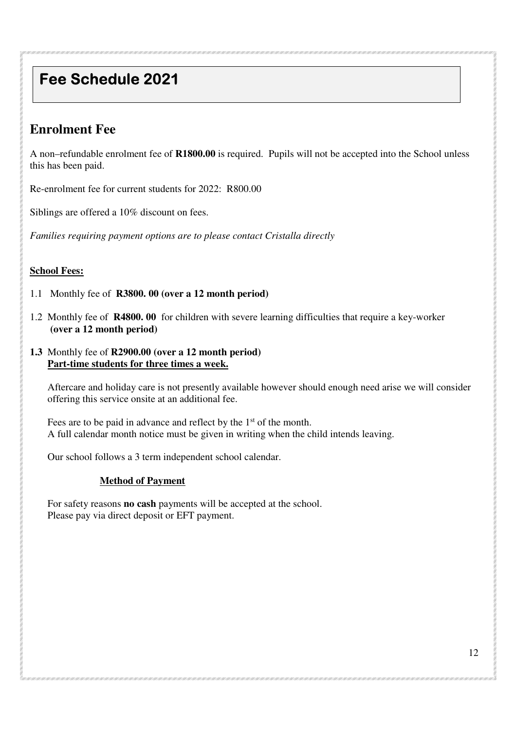# **Fee Schedule 2021**

# **Enrolment Fee**

A non–refundable enrolment fee of **R1800.00** is required. Pupils will not be accepted into the School unless this has been paid.

Re-enrolment fee for current students for 2022: R800.00

Siblings are offered a 10% discount on fees.

*Families requiring payment options are to please contact Cristalla directly* 

### **School Fees:**

- 1.1 Monthly fee of **R3800. 00 (over a 12 month period)**
- 1.2 Monthly fee of **R4800. 00** for children with severe learning difficulties that require a key-worker  **(over a 12 month period)**
- **1.3** Monthly fee of **R2900.00 (over a 12 month period) Part-time students for three times a week.**

Aftercare and holiday care is not presently available however should enough need arise we will consider offering this service onsite at an additional fee.

Fees are to be paid in advance and reflect by the 1<sup>st</sup> of the month. A full calendar month notice must be given in writing when the child intends leaving.

Our school follows a 3 term independent school calendar.

#### **Method of Payment**

For safety reasons **no cash** payments will be accepted at the school. Please pay via direct deposit or EFT payment.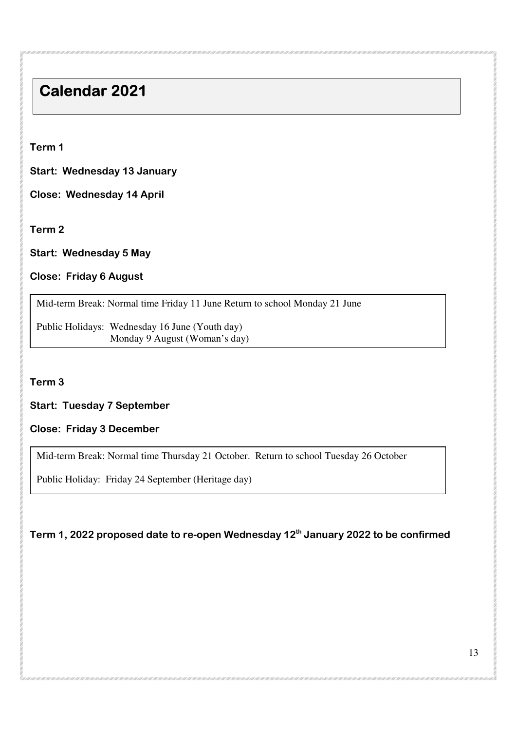# **Calendar 2021**

**Term 1** 

**Start: Wednesday 13 January** 

**Close: Wednesday 14 April** 

**Term 2** 

**Start: Wednesday 5 May** 

### **Close: Friday 6 August**

Mid-term Break: Normal time Friday 11 June Return to school Monday 21 June

Public Holidays: Wednesday 16 June (Youth day) Monday 9 August (Woman's day)

**Term 3** 

### **Start: Tuesday 7 September**

#### **Close: Friday 3 December**

 $\overline{a}$ 

Mid-term Break: Normal time Thursday 21 October. Return to school Tuesday 26 October

Public Holiday: Friday 24 September (Heritage day)

## **Term 1, 2022 proposed date to re-open Wednesday 12th January 2022 to be confirmed**